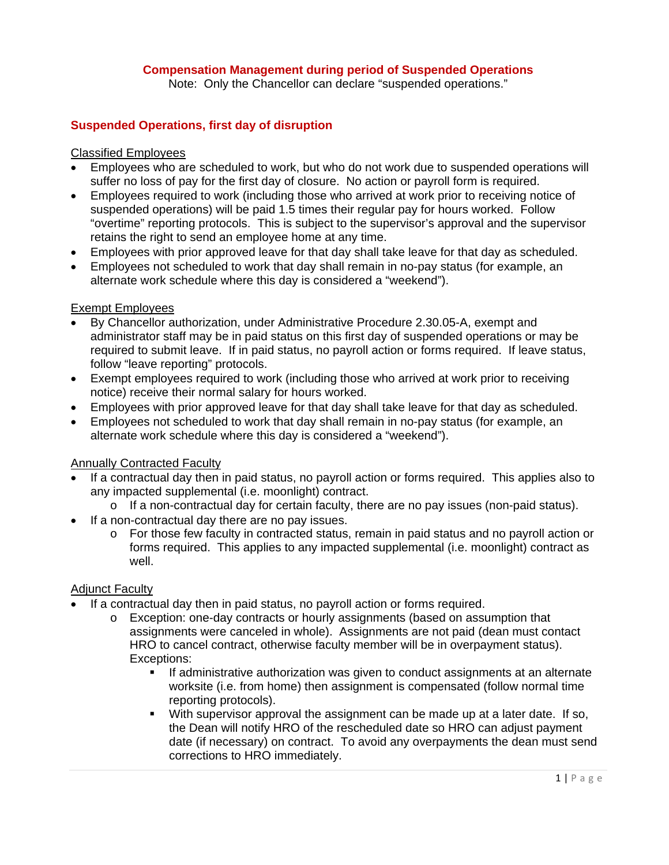## **Compensation Management during period of Suspended Operations**

Note: Only the Chancellor can declare "suspended operations."

## **Suspended Operations, first day of disruption**

#### Classified Employees

- Employees who are scheduled to work, but who do not work due to suspended operations will suffer no loss of pay for the first day of closure. No action or payroll form is required.
- Employees required to work (including those who arrived at work prior to receiving notice of suspended operations) will be paid 1.5 times their regular pay for hours worked. Follow "overtime" reporting protocols. This is subject to the supervisor's approval and the supervisor retains the right to send an employee home at any time.
- Employees with prior approved leave for that day shall take leave for that day as scheduled.
- Employees not scheduled to work that day shall remain in no-pay status (for example, an alternate work schedule where this day is considered a "weekend").

#### Exempt Employees

- By Chancellor authorization, under Administrative Procedure 2.30.05-A, exempt and administrator staff may be in paid status on this first day of suspended operations or may be required to submit leave. If in paid status, no payroll action or forms required. If leave status, follow "leave reporting" protocols.
- Exempt employees required to work (including those who arrived at work prior to receiving notice) receive their normal salary for hours worked.
- Employees with prior approved leave for that day shall take leave for that day as scheduled.
- Employees not scheduled to work that day shall remain in no-pay status (for example, an alternate work schedule where this day is considered a "weekend").

## Annually Contracted Faculty

- If a contractual day then in paid status, no payroll action or forms required. This applies also to any impacted supplemental (i.e. moonlight) contract.
	- o If a non-contractual day for certain faculty, there are no pay issues (non-paid status).
- If a non-contractual day there are no pay issues.
	- $\circ$  For those few faculty in contracted status, remain in paid status and no payroll action or forms required. This applies to any impacted supplemental (i.e. moonlight) contract as well.

#### Adjunct Faculty

- If a contractual day then in paid status, no payroll action or forms required.
	- o Exception: one-day contracts or hourly assignments (based on assumption that assignments were canceled in whole). Assignments are not paid (dean must contact HRO to cancel contract, otherwise faculty member will be in overpayment status). Exceptions:
		- If administrative authorization was given to conduct assignments at an alternate worksite (i.e. from home) then assignment is compensated (follow normal time reporting protocols).
		- With supervisor approval the assignment can be made up at a later date. If so, the Dean will notify HRO of the rescheduled date so HRO can adjust payment date (if necessary) on contract. To avoid any overpayments the dean must send corrections to HRO immediately.